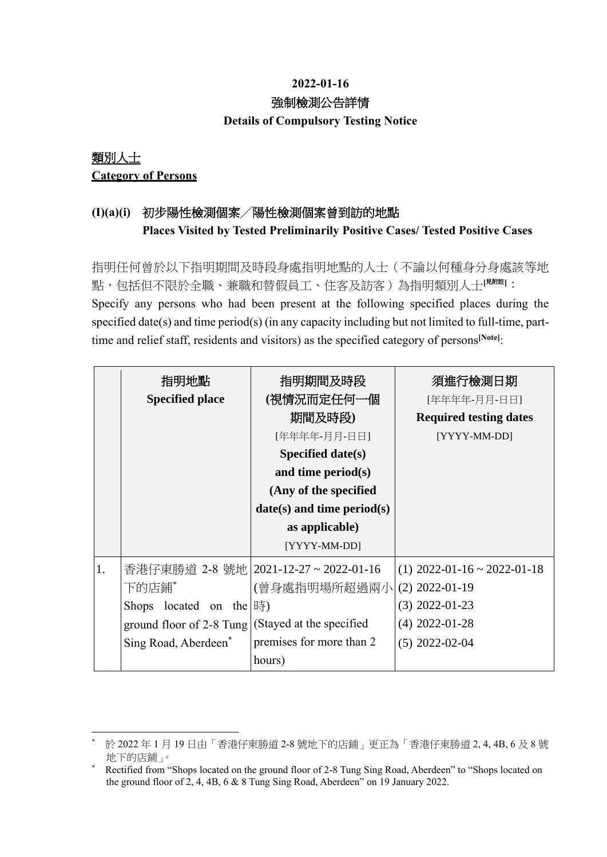## **2022-01-16** 強制檢測公告詳情 **Details of Compulsory Testing Notice**

## 類別人士 **Category of Persons**

## **(I)(a)(i)** 初步陽性檢測個案╱陽性檢測個案曾到訪的地點 **Places Visited by Tested Preliminarily Positive Cases/ Tested Positive Cases**

指明任何曾於以下指明期間及時段身處指明地點的人士(不論以何種身分身處該等地 點,包括但不限於全職、兼職和替假員工、住客及訪客)為指明類別人士**[**見附註**]**: Specify any persons who had been present at the following specified places during the specified date(s) and time period(s) (in any capacity including but not limited to full-time, parttime and relief staff, residents and visitors) as the specified category of persons**[Note]**:

|    | 指明地點                     | 指明期間及時段                                 | 須進行檢測日期                       |
|----|--------------------------|-----------------------------------------|-------------------------------|
|    | <b>Specified place</b>   | (視情況而定任何一個                              | [年年年年-月月-日日]                  |
|    |                          | 期間及時段)                                  | <b>Required testing dates</b> |
|    |                          | [年年年年-月月-日日]                            | [YYYY-MM-DD]                  |
|    |                          | Specified date(s)                       |                               |
|    |                          | and time period $(s)$                   |                               |
|    |                          | (Any of the specified                   |                               |
|    |                          | $date(s)$ and time period(s)            |                               |
|    |                          | as applicable)                          |                               |
|    |                          | [YYYY-MM-DD]                            |                               |
| 1. |                          | 香港仔東勝道 2-8 號地   2021-12-27 ~ 2022-01-16 | $(1)$ 2022-01-16 ~ 2022-01-18 |
|    | 下的店鋪*                    | (曾身處指明場所超過兩小                            | $(2)$ 2022-01-19              |
|    | Shops located on the  時) |                                         | $(3)$ 2022-01-23              |
|    | ground floor of 2-8 Tung | (Stayed at the specified                | $(4)$ 2022-01-28              |
|    | Sing Road, Aberdeen*     | premises for more than 2                | $(5)$ 2022-02-04              |
|    |                          | hours)                                  |                               |

<sup>1</sup> \* 於 2022 年 1 月 19 日由「香港仔東勝道 2-8 號地下的店鋪」更正為「香港仔東勝道 2, 4, 4B, 6 及 8 號 地下的店鋪」。

<sup>\*</sup> Rectified from "Shops located on the ground floor of 2-8 Tung Sing Road, Aberdeen" to "Shops located on the ground floor of 2, 4, 4B, 6 & 8 Tung Sing Road, Aberdeen" on 19 January 2022.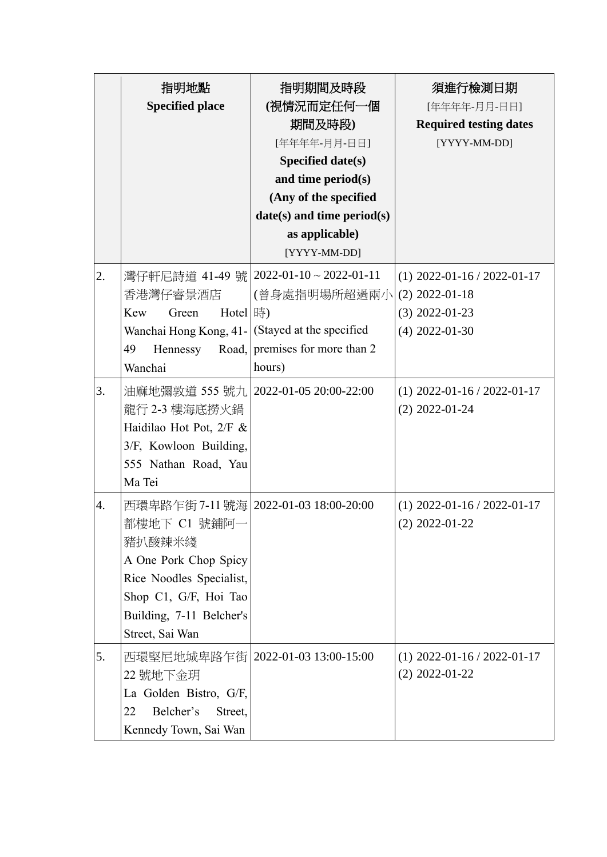|    | 指明地點<br><b>Specified place</b>                                                                                                                                                               | 指明期間及時段<br>(視情況而定任何一個<br>期間及時段)<br>[年年年年-月月-日日]<br>Specified date(s)<br>and time period(s)<br>(Any of the specified<br>$date(s)$ and time period $(s)$<br>as applicable)<br>[YYYY-MM-DD] | 須進行檢測日期<br>[年年年年-月月-日日]<br><b>Required testing dates</b><br>[YYYY-MM-DD]                  |
|----|----------------------------------------------------------------------------------------------------------------------------------------------------------------------------------------------|------------------------------------------------------------------------------------------------------------------------------------------------------------------------------------------|-------------------------------------------------------------------------------------------|
| 2. | 香港灣仔睿景酒店<br>Kew<br>Hotel 時)<br>Green<br>Wanchai Hong Kong, 41- (Stayed at the specified<br>49<br>Hennessy<br>Wanchai                                                                         | 灣仔軒尼詩道 41-49 號   2022-01-10~2022-01-11<br>(曾身處指明場所超過兩小<br>Road, premises for more than 2<br>hours)                                                                                       | $(1)$ 2022-01-16 / 2022-01-17<br>$(2)$ 2022-01-18<br>$(3)$ 2022-01-23<br>$(4)$ 2022-01-30 |
| 3. | 油麻地彌敦道 555 號九   2022-01-05 20:00-22:00<br>龍行 2-3 樓海底撈火鍋<br>Haidilao Hot Pot, 2/F &<br>3/F, Kowloon Building,<br>555 Nathan Road, Yau<br>Ma Tei                                               |                                                                                                                                                                                          | $(1)$ 2022-01-16 / 2022-01-17<br>$(2)$ 2022-01-24                                         |
| 4. | 西環卑路乍街 7-11 號海 2022-01-03 18:00-20:00<br>都樓地下 C1 號鋪阿一<br>豬扒酸辣米綫<br>A One Pork Chop Spicy<br>Rice Noodles Specialist,<br>Shop C1, G/F, Hoi Tao<br>Building, 7-11 Belcher's<br>Street, Sai Wan |                                                                                                                                                                                          | $(1)$ 2022-01-16 / 2022-01-17<br>$(2)$ 2022-01-22                                         |
| 5. | 西環堅尼地城卑路乍街   2022-01-03 13:00-15:00<br>22 號地下金玥<br>La Golden Bistro, G/F,<br>Belcher's<br>22<br>Street,<br>Kennedy Town, Sai Wan                                                             |                                                                                                                                                                                          | $(1)$ 2022-01-16 / 2022-01-17<br>$(2)$ 2022-01-22                                         |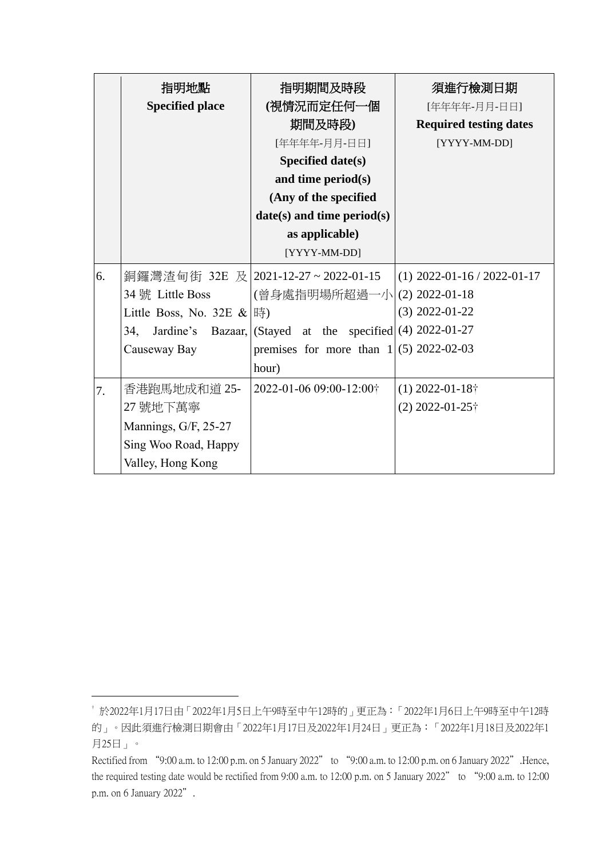|    | 指明地點                          | 指明期間及時段                                                         | 須進行檢測日期                       |
|----|-------------------------------|-----------------------------------------------------------------|-------------------------------|
|    | <b>Specified place</b>        | (視情況而定任何一個                                                      | [年年年年-月月-日日]                  |
|    |                               | 期間及時段)                                                          | <b>Required testing dates</b> |
|    |                               | [年年年年-月月-日日]                                                    | [YYYY-MM-DD]                  |
|    |                               | Specified date(s)                                               |                               |
|    |                               | and time period(s)                                              |                               |
|    |                               | (Any of the specified                                           |                               |
|    |                               | $date(s)$ and time period(s)                                    |                               |
|    |                               | as applicable)                                                  |                               |
|    |                               | [YYYY-MM-DD]                                                    |                               |
| 6. |                               | 銅鑼灣渣甸街 32E 及 2021-12-27~2022-01-15                              | $(1)$ 2022-01-16 / 2022-01-17 |
|    | 34號 Little Boss               | (曾身處指明場所超過一小 (2) 2022-01-18                                     |                               |
|    | Little Boss, No. 32E $\&$  時) |                                                                 | $(3)$ 2022-01-22              |
|    | 34,                           | Jardine's Bazaar, $ $ (Stayed at the specified $(4)$ 2022-01-27 |                               |
|    | Causeway Bay                  | premises for more than $1 (5)$ 2022-02-03                       |                               |
|    |                               | hour)                                                           |                               |
| 7. | 香港跑馬地成和道 25-                  | 2022-01-06 09:00-12:00+                                         | $(1)$ 2022-01-18 $\dagger$    |
|    | 27 號地下萬寧                      |                                                                 | $(2)$ 2022-01-25 $\dagger$    |
|    | Mannings, G/F, 25-27          |                                                                 |                               |
|    | Sing Woo Road, Happy          |                                                                 |                               |
|    | Valley, Hong Kong             |                                                                 |                               |

1

<sup>†</sup> 於2022年1月17日由「2022年1月5日上午9時至中午12時的」更正為:「2022年1月6日上午9時至中午12時 的」。因此須進行檢測日期會由「2022年1月17日及2022年1月24日」更正為:「2022年1月18日及2022年1 月25日」。

Rectified from "9:00 a.m. to 12:00 p.m. on 5 January 2022" to "9:00 a.m. to 12:00 p.m. on 6 January 2022". Hence, the required testing date would be rectified from 9:00 a.m. to 12:00 p.m. on 5 January 2022" to "9:00 a.m. to 12:00 p.m. on 6 January 2022".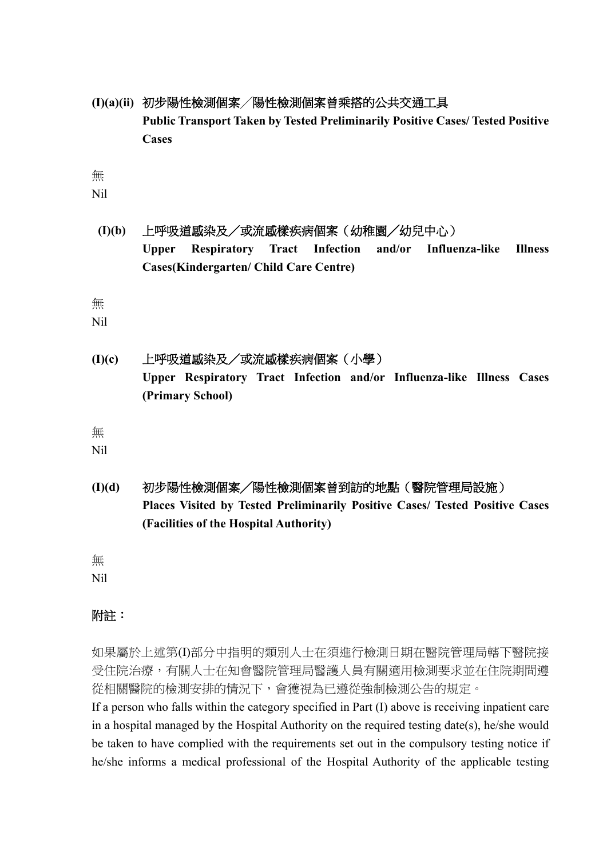**(I)(a)(ii)** 初步陽性檢測個案╱陽性檢測個案曾乘搭的公共交通工具 **Public Transport Taken by Tested Preliminarily Positive Cases/ Tested Positive Cases**

無

Nil

**(I)(b)** 上呼吸道感染及/或流感樣疾病個案(幼稚園╱幼兒中心) **Upper Respiratory Tract Infection and/or Influenza-like Illness Cases(Kindergarten/ Child Care Centre)**

無

Nil

**(I)(c)** 上呼吸道感染及/或流感樣疾病個案(小學) **Upper Respiratory Tract Infection and/or Influenza-like Illness Cases (Primary School)**

無

Nil

**(I)(d)** 初步陽性檢測個案╱陽性檢測個案曾到訪的地點(醫院管理局設施) **Places Visited by Tested Preliminarily Positive Cases/ Tested Positive Cases (Facilities of the Hospital Authority)**

無 Nil

## 附註:

如果屬於上述第(I)部分中指明的類別人士在須進行檢測日期在醫院管理局轄下醫院接 受住院治療,有關人士在知會醫院管理局醫護人員有關適用檢測要求並在住院期間遵 從相關醫院的檢測安排的情況下,會獲視為已遵從強制檢測公告的規定。

If a person who falls within the category specified in Part (I) above is receiving inpatient care in a hospital managed by the Hospital Authority on the required testing date(s), he/she would be taken to have complied with the requirements set out in the compulsory testing notice if he/she informs a medical professional of the Hospital Authority of the applicable testing